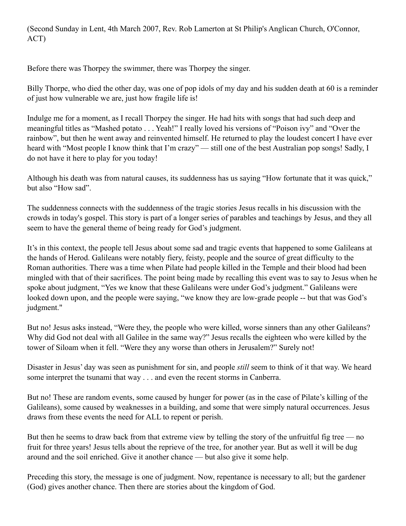(Second Sunday in Lent, 4th March 2007, Rev. Rob Lamerton at St Philip's Anglican Church, O'Connor, ACT)

Before there was Thorpey the swimmer, there was Thorpey the singer.

Billy Thorpe, who died the other day, was one of pop idols of my day and his sudden death at 60 is a reminder of just how vulnerable we are, just how fragile life is!

Indulge me for a moment, as I recall Thorpey the singer. He had hits with songs that had such deep and meaningful titles as "Mashed potato . . . Yeah!" I really loved his versions of "Poison ivy" and "Over the rainbow", but then he went away and reinvented himself. He returned to play the loudest concert I have ever heard with "Most people I know think that I'm crazy" — still one of the best Australian pop songs! Sadly, I do not have it here to play for you today!

Although his death was from natural causes, its suddenness has us saying "How fortunate that it was quick," but also "How sad".

The suddenness connects with the suddenness of the tragic stories Jesus recalls in his discussion with the crowds in today's gospel. This story is part of a longer series of parables and teachings by Jesus, and they all seem to have the general theme of being ready for God's judgment.

It's in this context, the people tell Jesus about some sad and tragic events that happened to some Galileans at the hands of Herod. Galileans were notably fiery, feisty, people and the source of great difficulty to the Roman authorities. There was a time when Pilate had people killed in the Temple and their blood had been mingled with that of their sacrifices. The point being made by recalling this event was to say to Jesus when he spoke about judgment, "Yes we know that these Galileans were under God's judgment." Galileans were looked down upon, and the people were saying, "we know they are low-grade people -- but that was God's judgment."

But no! Jesus asks instead, "Were they, the people who were killed, worse sinners than any other Galileans? Why did God not deal with all Galilee in the same way?" Jesus recalls the eighteen who were killed by the tower of Siloam when it fell. "Were they any worse than others in Jerusalem?" Surely not!

Disaster in Jesus' day was seen as punishment for sin, and people *still* seem to think of it that way. We heard some interpret the tsunami that way . . . and even the recent storms in Canberra.

But no! These are random events, some caused by hunger for power (as in the case of Pilate's killing of the Galileans), some caused by weaknesses in a building, and some that were simply natural occurrences. Jesus draws from these events the need for ALL to repent or perish.

But then he seems to draw back from that extreme view by telling the story of the unfruitful fig tree — no fruit for three years! Jesus tells about the reprieve of the tree, for another year. But as well it will be dug around and the soil enriched. Give it another chance — but also give it some help.

Preceding this story, the message is one of judgment. Now, repentance is necessary to all; but the gardener (God) gives another chance. Then there are stories about the kingdom of God.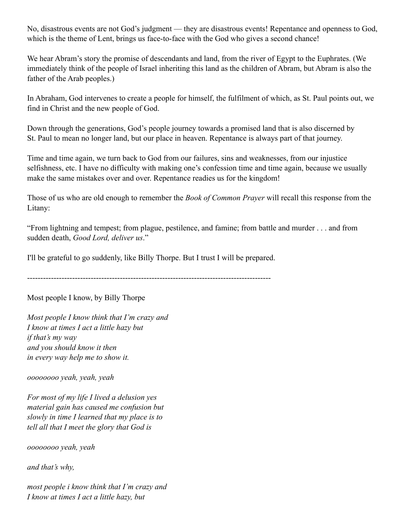No, disastrous events are not God's judgment — they are disastrous events! Repentance and openness to God, which is the theme of Lent, brings us face-to-face with the God who gives a second chance!

We hear Abram's story the promise of descendants and land, from the river of Egypt to the Euphrates. (We immediately think of the people of Israel inheriting this land as the children of Abram, but Abram is also the father of the Arab peoples.)

In Abraham, God intervenes to create a people for himself, the fulfilment of which, as St. Paul points out, we find in Christ and the new people of God.

Down through the generations, God's people journey towards a promised land that is also discerned by St. Paul to mean no longer land, but our place in heaven. Repentance is always part of that journey.

Time and time again, we turn back to God from our failures, sins and weaknesses, from our injustice selfishness, etc. I have no difficulty with making one's confession time and time again, because we usually make the same mistakes over and over. Repentance readies us for the kingdom!

Those of us who are old enough to remember the *Book of Common Prayer* will recall this response from the Litany:

"From lightning and tempest; from plague, pestilence, and famine; from battle and murder . . . and from sudden death, *Good Lord, deliver us*."

I'll be grateful to go suddenly, like Billy Thorpe. But I trust I will be prepared.

--------------------------------------------------------------------------------------------

Most people I know, by Billy Thorpe

*Most people I know think that I'm crazy and I know at times I act a little hazy but if that's my way and you should know it then in every way help me to show it.*

*oooooooo yeah, yeah, yeah*

*For most of my life I lived a delusion yes material gain has caused me confusion but slowly in time I learned that my place is to tell all that I meet the glory that God is*

*oooooooo yeah, yeah*

*and that's why,*

*most people i know think that I'm crazy and I know at times I act a little hazy, but*